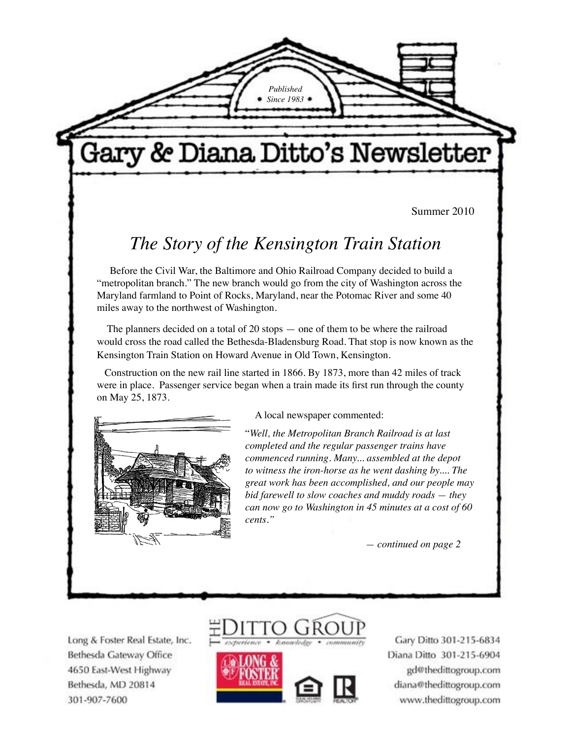*Published Since 1983*

# Gary & Diana Ditto's Newsletter

Summer 2010

## *The Story of the Kensington Train Station*

 Before the Civil War, the Baltimore and Ohio Railroad Company decided to build a "metropolitan branch." The new branch would go from the city of Washington across the Maryland farmland to Point of Rocks, Maryland, near the Potomac River and some 40 miles away to the northwest of Washington.

 The planners decided on a total of 20 stops — one of them to be where the railroad would cross the road called the Bethesda-Bladensburg Road. That stop is now known as the Kensington Train Station on Howard Avenue in Old Town, Kensington.

 Construction on the new rail line started in 1866. By 1873, more than 42 miles of track were in place. Passenger service began when a train made its first run through the county on May 25, 1873.



A local newspaper commented:

"*Well, the Metropolitan Branch Railroad is at last completed and the regular passenger trains have commenced running. Many... assembled at the depot to witness the iron-horse as he went dashing by.... The great work has been accomplished, and our people may bid farewell to slow coaches and muddy roads — they can now go to Washington in 45 minutes at a cost of 60 cents."*

 *— continued on page 2*

Long & Foster Real Estate, Inc. Bethesda Gateway Office 4650 East-West Highway Bethesda, MD 20814 301-907-7600





Gary Ditto 301-215-6834 Diana Ditto 301-215-6904 gd@thedittogroup.com diana@thedittogroup.com www.thedittogroup.com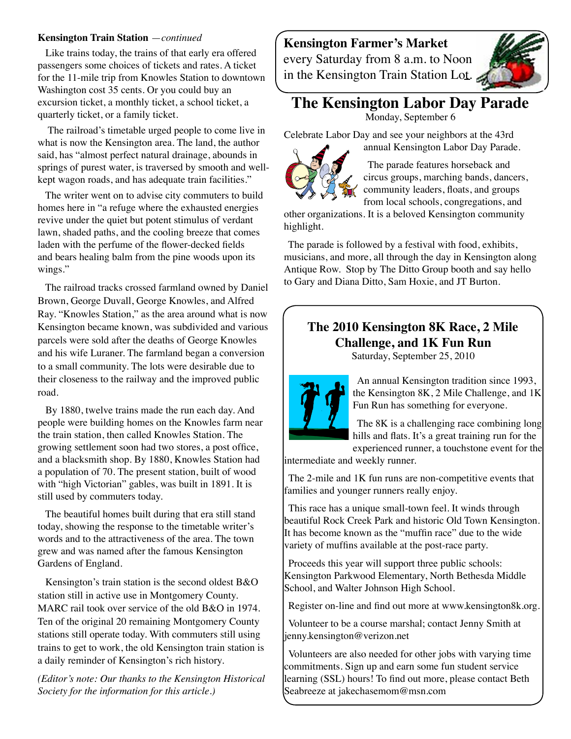#### **Kensington Train Station** —*continued*

 Like trains today, the trains of that early era offered passengers some choices of tickets and rates. A ticket for the 11-mile trip from Knowles Station to downtown Washington cost 35 cents. Or you could buy an excursion ticket, a monthly ticket, a school ticket, a quarterly ticket, or a family ticket.

 The railroad's timetable urged people to come live in what is now the Kensington area. The land, the author said, has "almost perfect natural drainage, abounds in springs of purest water, is traversed by smooth and wellkept wagon roads, and has adequate train facilities."

 The writer went on to advise city commuters to build homes here in "a refuge where the exhausted energies revive under the quiet but potent stimulus of verdant lawn, shaded paths, and the cooling breeze that comes laden with the perfume of the flower-decked fields and bears healing balm from the pine woods upon its wings."

 The railroad tracks crossed farmland owned by Daniel Brown, George Duvall, George Knowles, and Alfred Ray. "Knowles Station," as the area around what is now Kensington became known, was subdivided and various parcels were sold after the deaths of George Knowles and his wife Luraner. The farmland began a conversion to a small community. The lots were desirable due to their closeness to the railway and the improved public road.

 By 1880, twelve trains made the run each day. And people were building homes on the Knowles farm near the train station, then called Knowles Station. The growing settlement soon had two stores, a post office, and a blacksmith shop. By 1880, Knowles Station had a population of 70. The present station, built of wood with "high Victorian" gables, was built in 1891. It is still used by commuters today.

 The beautiful homes built during that era still stand today, showing the response to the timetable writer's words and to the attractiveness of the area. The town grew and was named after the famous Kensington Gardens of England.

 Kensington's train station is the second oldest B&O station still in active use in Montgomery County. MARC rail took over service of the old B&O in 1974. Ten of the original 20 remaining Montgomery County stations still operate today. With commuters still using trains to get to work, the old Kensington train station is a daily reminder of Kensington's rich history.

*(Editor's note: Our thanks to the Kensington Historical Society for the information for this article.)* 

**Kensington Farmer's Market**  every Saturday from 8 a.m. to Noon in the Kensington Train Station Lot.



### **The Kensington Labor Day Parade**

Monday, September 6

Celebrate Labor Day and see your neighbors at the 43rd



annual Kensington Labor Day Parade. The parade features horseback and circus groups, marching bands, dancers,

community leaders, floats, and groups from local schools, congregations, and

other organizations. It is a beloved Kensington community highlight.

The parade is followed by a festival with food, exhibits, musicians, and more, all through the day in Kensington along Antique Row. Stop by The Ditto Group booth and say hello to Gary and Diana Ditto, Sam Hoxie, and JT Burton.

### **The 2010 Kensington 8K Race, 2 Mile Challenge, and 1K Fun Run**

Saturday, September 25, 2010



An annual Kensington tradition since 1993, the Kensington 8K, 2 Mile Challenge, and 1K Fun Run has something for everyone.

The 8K is a challenging race combining long hills and flats. It's a great training run for the experienced runner, a touchstone event for the

intermediate and weekly runner.

The 2-mile and 1K fun runs are non-competitive events that families and younger runners really enjoy.

This race has a unique small-town feel. It winds through beautiful Rock Creek Park and historic Old Town Kensington. It has become known as the "muffin race" due to the wide variety of muffins available at the post-race party.

Proceeds this year will support three public schools: Kensington Parkwood Elementary, North Bethesda Middle School, and Walter Johnson High School.

Register on-line and find out more at www.kensington8k.org.

Volunteer to be a course marshal; contact Jenny Smith at jenny.kensington@verizon.net

Volunteers are also needed for other jobs with varying time commitments. Sign up and earn some fun student service learning (SSL) hours! To find out more, please contact Beth Seabreeze at jakechasemom@msn.com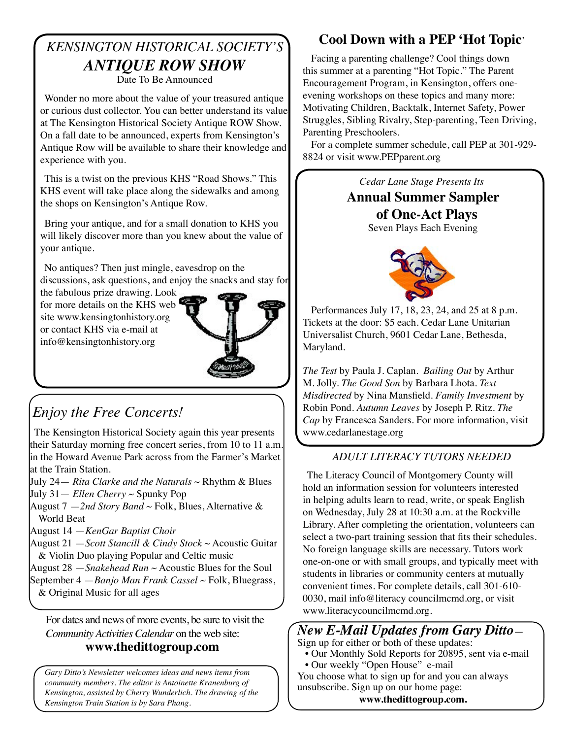#### *KENSINGTON HISTORICAL SOCIETY'S ANTIQUE ROW SHOW*  Date To Be Announced

Wonder no more about the value of your treasured antique or curious dust collector. You can better understand its value at The Kensington Historical Society Antique ROW Show. On a fall date to be announced, experts from Kensington's Antique Row will be available to share their knowledge and experience with you.

This is a twist on the previous KHS "Road Shows." This KHS event will take place along the sidewalks and among the shops on Kensington's Antique Row.

Bring your antique, and for a small donation to KHS you will likely discover more than you knew about the value of your antique.

No antiques? Then just mingle, eavesdrop on the discussions, ask questions, and enjoy the snacks and stay for

the fabulous prize drawing. Look for more details on the KHS web site www.kensingtonhistory.org or contact KHS via e-mail at info@kensingtonhistory.org



# *Enjoy the Free Concerts!*

The Kensington Historical Society again this year presents their Saturday morning free concert series, from 10 to 11 a.m. in the Howard Avenue Park across from the Farmer's Market at the Train Station.

July 24— *Rita Clarke and the Naturals* ~ Rhythm & Blues July 31— *Ellen Cherry* ~ Spunky Pop

August 7 —*2nd Story Band* ~ Folk, Blues, Alternative & World Beat

August 14 —*KenGar Baptist Choir* 

August 21 —*Scott Stancill & Cindy Stock* ~ Acoustic Guitar & Violin Duo playing Popular and Celtic music

August 28 —*Snakehead Run* ~ Acoustic Blues for the Soul September 4 —*Banjo Man Frank Cassel* ~ Folk, Bluegrass, & Original Music for all ages

For dates and news of more events, be sure to visit the www.literacycouncilmcmd.org. *Community Activities Calendar* on the web site:  **www.thedittogroup.com**

*Gary Ditto's Newsletter welcomes ideas and news items from community members. The editor is Antoinette Kranenburg of Kensington, assisted by Cherry Wunderlich. The drawing of the Kensington Train Station is by Sara Phang.*

### **Cool Down with a PEP 'Hot Topic**'

Facing a parenting challenge? Cool things down this summer at a parenting "Hot Topic." The Parent Encouragement Program, in Kensington, offers oneevening workshops on these topics and many more: Motivating Children, Backtalk, Internet Safety, Power Struggles, Sibling Rivalry, Step-parenting, Teen Driving, Parenting Preschoolers.

For a complete summer schedule, call PEP at 301-929- 8824 or visit www.PEPparent.org



Performances July 17, 18, 23, 24, and 25 at 8 p.m. Tickets at the door: \$5 each. Cedar Lane Unitarian Universalist Church, 9601 Cedar Lane, Bethesda, Maryland.

*The Test* by Paula J. Caplan. *Bailing Out* by Arthur M. Jolly. *The Good Son* by Barbara Lhota. *Text Misdirected* by Nina Mansfield. *Family Investment* by Robin Pond. *Autumn Leaves* by Joseph P. Ritz. *The Cap* by Francesca Sanders. For more information, visit www.cedarlanestage.org

### *ADULT LITERACY TUTORS NEEDED*

The Literacy Council of Montgomery County will hold an information session for volunteers interested in helping adults learn to read, write, or speak English on Wednesday, July 28 at 10:30 a.m. at the Rockville Library. After completing the orientation, volunteers can select a two-part training session that fits their schedules. No foreign language skills are necessary. Tutors work one-on-one or with small groups, and typically meet with students in libraries or community centers at mutually convenient times. For complete details, call 301-610- 0030, mail info@literacy councilmcmd.org, or visit

### *New E-Mail Updates from Gary Ditto*—

Sign up for either or both of these updates:

 • Our Monthly Sold Reports for 20895, sent via e-mail • Our weekly "Open House" e-mail

You choose what to sign up for and you can always unsubscribe. Sign up on our home page:

**www.thedittogroup.com.**